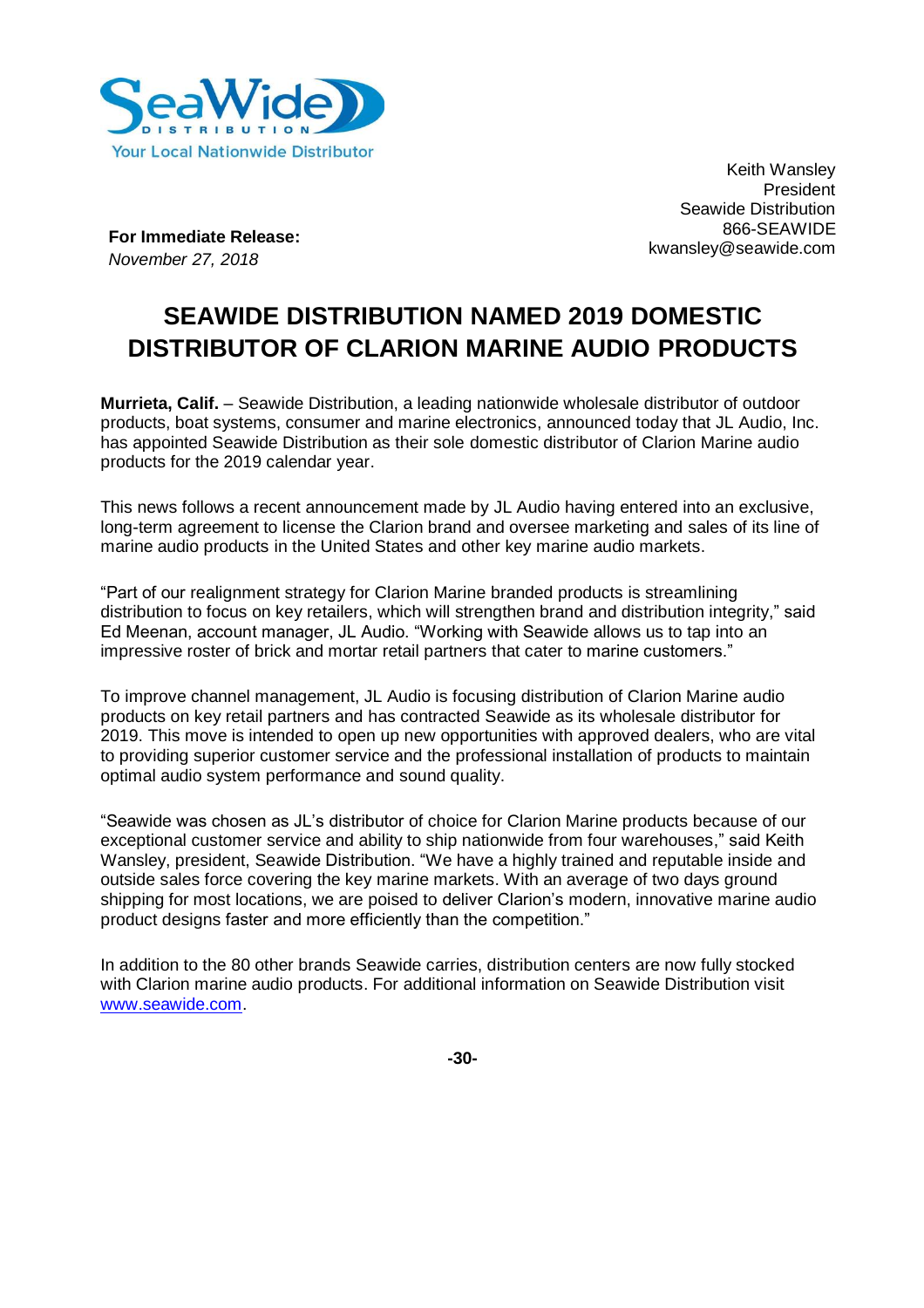

Keith Wansley **President** Seawide Distribution 866-SEAWIDE kwansley@seawide.com

**For Immediate Release:** *November 27, 2018*

# **SEAWIDE DISTRIBUTION NAMED 2019 DOMESTIC DISTRIBUTOR OF CLARION MARINE AUDIO PRODUCTS**

**Murrieta, Calif.** – Seawide Distribution, a leading nationwide wholesale distributor of outdoor products, boat systems, consumer and marine electronics, announced today that JL Audio, Inc. has appointed Seawide Distribution as their sole domestic distributor of Clarion Marine audio products for the 2019 calendar year.

This news follows a recent announcement made by JL Audio having entered into an exclusive, long-term agreement to license the Clarion brand and oversee marketing and sales of its line of marine audio products in the United States and other key marine audio markets.

"Part of our realignment strategy for Clarion Marine branded products is streamlining distribution to focus on key retailers, which will strengthen brand and distribution integrity," said Ed Meenan, account manager, JL Audio. "Working with Seawide allows us to tap into an impressive roster of brick and mortar retail partners that cater to marine customers."

To improve channel management, JL Audio is focusing distribution of Clarion Marine audio products on key retail partners and has contracted Seawide as its wholesale distributor for 2019. This move is intended to open up new opportunities with approved dealers, who are vital to providing superior customer service and the professional installation of products to maintain optimal audio system performance and sound quality.

"Seawide was chosen as JL's distributor of choice for Clarion Marine products because of our exceptional customer service and ability to ship nationwide from four warehouses," said Keith Wansley, president, Seawide Distribution. "We have a highly trained and reputable inside and outside sales force covering the key marine markets. With an average of two days ground shipping for most locations, we are poised to deliver Clarion's modern, innovative marine audio product designs faster and more efficiently than the competition."

In addition to the 80 other brands Seawide carries, distribution centers are now fully stocked with Clarion marine audio products. For additional information on Seawide Distribution visit [www.seawide.com.](http://www.seawide.com/)